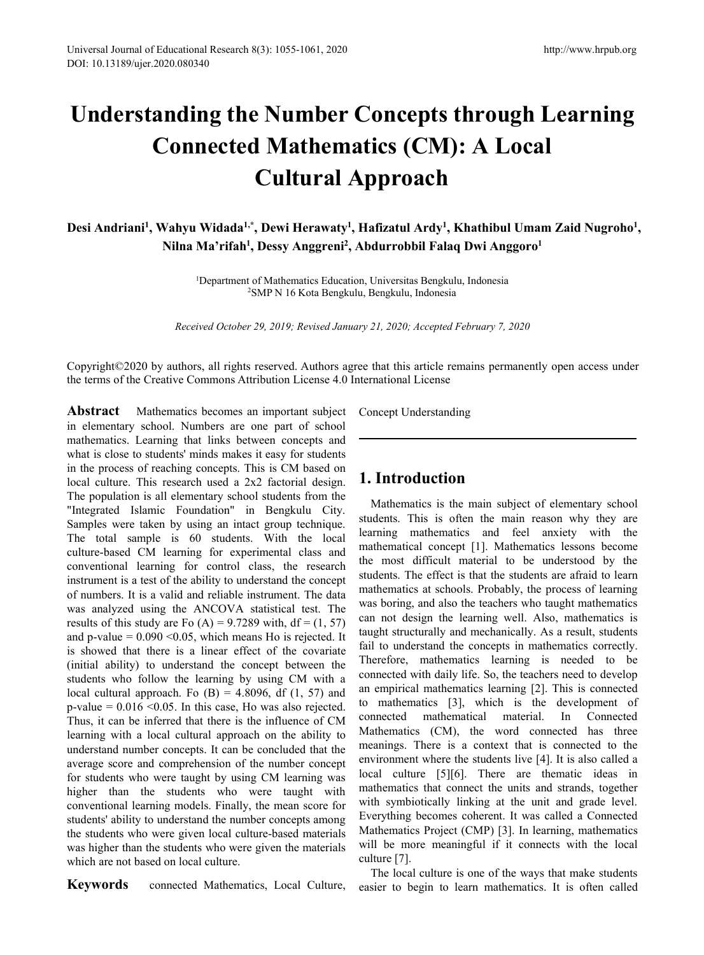# Understanding the Number Concepts through Learning<br> **Understanding the Number Concepts through Learning<br>
Connected Mathematics (CM): A Local<br>
Cultural Approach**<br>
Desi Andriani<sup>1</sup>. Wahyn Widada<sup>1,\*</sup>. Dewi Herawaty<sup>1</sup>. Hafiz Educational Research 8(3): 1055-1061, 2020<br>
2020.080340<br> **Anding the Number Concepts through Learning**<br> **Connected Mathematics (CM): A Local<br>
Cultural Approach**<br>
Wahyu Widada<sup>1,\*</sup>, Dewi Herawaty<sup>,1</sup>, Hafizatul Ardy<sup>,1</sup>, Kh <sup>2</sup><br> **Concepts through Learning<br>
<b>Cultural Approach**<br> **Cultural Approach**<br> **Cultural Approach**<br>
Concepts through Learning<br>
Cultural Approach<br>
Cultural Approach<br>
Concepts that the University<br>
Dessy Anggreni<sup>2</sup>, Abdurrobbil Universal Journal of Educational Research 8(3): 1055<br>
DOI: 10.13189/ujer.2020.080340<br> **Connected Manual Connected Manual Connected Manual Connected Manual Cult**<br>
Desi Andriani<sup>1</sup>, Wahyu Widada<sup>1,\*</sup>, Dewi I<br>
Nilna Ma'rifah<sup></sup> Feducational Research 8(3): 1055-1061, 2020<br>
1,2020.080340<br> **dividend in the Number Concepts thro**<br> **Connected Mathematics (CM): A**<br> **Cultural Approach**<br>
1, Wahyu Widada<sup>1,\*</sup>, Dewi Herawaty<sup>1</sup>, Hafizatul Ardy<sup>1</sup>, Khathil<br> http://www.hrpul<br> **Concepts through Learnir<br>
atics (CM): A Local<br>
Approach<br>
, Hafizatul Ardy<sup>1</sup>, Khathibul Umam Zaid Nugre<br>
Abdurrobbil Falaq Dwi Anggoro<sup>1</sup><br>
ion, Universitas Bengkulu, Indonesia** http://www.hrpub.org<br> **(hrough Learning)**<br> **(i): A Local**<br> **(i)**<br> **, Khathibul Umam Zaid Nugroho<sup>1</sup>,<br>
aq Dwi Anggoro<sup>1</sup><br>

<u>(i)</u>, Indonesia (National Research 6(5): 1055-1061, 2020**<br> **Mathematics (CM): A Local**<br> **Connected Mathematics (CM): A Local**<br>
Cultural Approach<br>
Vahyu Widada<sup>1,\*</sup>, Dewi Herawaty<sup>1</sup>, Hafizatul Ardy<sup>1</sup>, Khathibul Umam Zaid Nugroho<sup>1</sup>,<br>
Ni **e Number Concepts thro<br>d Mathematics (CM): A<br>Cultural Approach<br>\*, Dewi Herawaty<sup>1</sup>, Hafizatul Ardy<sup>1</sup>, Khathil<br>Dessy Anggreni<sup>2</sup>, Abdurrobbil Falaq Dwi A<br>of Mathematics Education, Universitas Bengkulu, Indones<br>SMP N 16 Ko Concepts through Learning<br>
atics (CM): A Local<br>
Approach<br>
<sup>1</sup>, Hafizatul Ardy<sup>1</sup>, Khathibul Umam Zaid Nugroho<sup>1</sup>,<br>
<sup>1</sup>, Hafizatul Ardy<sup>1</sup>, Khathibul Umam Zaid Nugroho<sup>1</sup>,<br>
, Abdurrobbil Falaq Dwi Anggoro<sup>1</sup><br>
tion, Univers** <sup>1</sup>Department of Mathematics Education, Universitas Bengkulu, Indonesia **d Mathematics (CM): A Local<br>
Cultural Approach**<br>
<sup>\*</sup>, Dewi Herawaty<sup>1</sup>, Hafizatul Ardy<sup>1</sup>, Khathibul Umam Zaid<br>
<sup>1</sup>, Dessy Anggreni<sup>2</sup>, Abdurrobbil Falaq Dwi Anggoro<sup>1</sup><br>
<sup>2</sup>SMP N 16 Kota Bengkulu, Bengkulu, Indonesia<br> *r*

**Cultural Approach**<br>**hyu Widada<sup>1,\*</sup>, Dewi Herawaty<sup>1</sup>, Hafizatul Ardy<sup>1</sup>, Khathibul Umam Zaid Nugroho<sup>1</sup>,<br>Ina Ma'rifah<sup>1</sup>, Dessy Anggreni<sup>2</sup>, Abdurrobbil Falaq Dwi Anggoro<sup>1</sup><br><sup>1</sup>Department of Mathematics Education, Univer** Copyright©2020 by authors, all rights reserved. Authors agree that this article remains permanently open access under<br>
The article remains respective of Mathematics Education, Universities Bengkulu, Indonesia<br>
<sup>2</sup>SMP N 16 **Desi Andriani<sup>1</sup>, Wahyu Widada<sup>1,\*</sup>, Dewi Herawaty<sup>1</sup>, Hafizatul Ardy<sup>1</sup>, Khathibul Umam Zaid Ni<br>
Nilna Ma'rifah<sup>1</sup>, Dessy Anggreni<sup>2</sup>, Abdurrobbil Falaq Dwi Anggoro<sup>1</sup><br>
<sup>1</sup>Department of Mathematics Education, Universitas** 

**Abdurrobbil Falaq Dwi Anggoro<sup>1</sup>**<br>n, Universitas Bengkulu, Indonesia<br>u, Bengkulu, Indonesia<br>ry 21, 2020; Accepted February 7, 2020<br>ee that this article remains permanently open a<br>ternational License<br>Concept Understanding

**Abdurrobbil Falaq Dwi** *A*<br>
<sup>1</sup>Department of Mathematics Education, Universitas Bengkulu, Indone<br>
<sup>2</sup>SMP N 16 Kota Bengkulu, Bengkulu, Indonesia<br> *Received October 29, 2019; Revised January 21, 2020; Accepted February*<br> <sup>1</sup> Department of Mathematics Education, Universitas Bengkulu, Indone<br><sup>2</sup>SMP N 16 Kota Bengkulu, Bengkulu, Indonesia<br><sup>2</sup>SMP N 16 Kota Bengkulu, Bengkulu, Indonesia<br>*Received October 29, 2019; Revised January 21, 2020; Acce* <sup>1</sup>Department of Mathematics Education, Universitas Bengkulu, Indonesia<br><sup>2</sup>SMP N 16 Kota Bengkulu, Bengkulu, Indonesia<br><sup>2</sup>SMP N 16 Kota Bengkulu, Bengkulu, Indonesia<br><sup>2</sup>SMP N 16 Kota Bengkulu, Indonesia<br><sup>2</sup>SMP N 16 Kota Be Frequentian of Mathematics Education, Universitas Bengkulu, Indonesia<br>
<sup>2</sup>SMP N 16 Kota Bengkulu, Bengkulu, Indonesia<br> *Received October 29, 2019; Revised January 21, 2020; Accepted Februar*<br> **Copyright©2020** by authors, a SMP N 16 Kota Bengkulu, Bengkulu, Indonesia<br>
Received October 29, 2019; Revised January 21, 2020; Accepted February 7, 20<br>
Copyright©2020 by authors, all rights reserved. Authors agree that this article remains permathe te Received October 29, 2019; Revised January 21, 2020; Accepted February<br>
Copyright©2020 by authors, all rights reserved. Authors agree that this article remains p<br>
the terms of the Creative Commons Attribution License 4.0 I Received October 29, 2019; Revised January 21, 2020; Accepted February 7, 2<br>
Copyright©2020 by authors, all rights reserved. Authors agree that this article remains perm<br>
the terms of the Creative Commons Attribution Licen Copyright©2020 by authors, all rights reserved. Authors agree that this article remains per<br>the terms of the Creative Commons Attribution License 4.0 International License<br> **Abstract** Mathematics becomes an important subje Copyright©2020 by authors, all rights reserved. Authors agree that this article remain<br>the terms of the Creative Commons Attribution License 4.0 International License<br>in the terms of the Creative Commons Attribution Licens Copyright (2020 by authors, all rights reserved. Authors agree that this article remains per<br>the terms of the Creative Commons Attribution License 4.0 International License<br> **Abstract** Mathematics becomes an important sub the terms of the Creative Commons Attribution License 4.0 International License<br> **Abstract** Mathematics becomes an important subject Concept Understanding<br>
in elementary school. Numbers are one part of school<br>
mathematics. **Abstract** Mathematics becomes an important subject Concept Understanding<br>in elementary school. Numbers are one part of school<br>mathematics. Learning that links between concepts and<br>what is close to students' minds makes i **Abstract** Mathematics becomes an important subject Concept Understanding<br>in elementary school. Numbers are one part of school<br>wanti is close to students' minds makes it easy for students<br>in the process of reaching concep in elementary school. Numbers are one part of school<br>mathematics. Learning that links between concepts and<br>in the process of reaching concepts. This is CM based on<br>local culture. This research used a 2x2 factorial design. mathematics. Learning that links between concepts and<br>
what is close to students' minds makes it easy for students<br>
in the process of reaching concepts. This is CM based on<br>
ICM and alternative is research used a 2x2 fact what is close to students' minds makes it easy for students<br>
in the process of reaching concepts. This is CM based on<br>
Iceal culture. This research used a 2x2 factorial design.<br>
The population is all elementary school stu in the process of reaching concepts. This is CM based on<br>
local culture. This research used a 2x2 factorial design.<br>
The population is all elementary school students from the<br>
"Integrated Islamic Foundation" in Bengkulu C local culture. This research used a 2x2 factorial design. **1. Introduction**<br>The population is all elementary school students from the "Integrated Islamic Foundation" in Bengkulu City.<br>Shamples were taken by using an intea The population is all elementary school students from the<br>
"Integrated Islamic Foundation" in Bengkulu City.<br>
Samples were taken by using an intact group technique.<br>
Samples were taken by using an intact group technique.<br> "Integrated Islamic Foundation" in Bengkulu City. Wathematics is the main subjest and the main subset of learning for experimental class and fearning mathematics and feature-based CM learning for experimental class and ma Samples were taken by using an intact group technique.<br>
The total sample is 60 students. With the local learning tomewhered and<br>
culture-based CM learning for experimental class and<br>
conventional learning for conventional The total sample is 60 students. With the local learning mathematics a<br>culture-based CM learning for experimental class and mathematical concept [1].<br>conventional learning for control class, the research the most difficul culture-based CM learning for experimental class and mathematical concept [1]. Mathematical to be instrument is a test of the ability to understand the concept control class, the research interment is a test of the abilit conventional learning for control class, the research the most difficult material to<br>instrument is a test of the ability to understand the concept<br>statical test in the stitute stitute of<br>mathematics at schools. Probably<br>o instrument is a test of the ability to understand the concept<br>
of numbers. It is a valid and reliable instrument. The data<br>
was boring, and also the teacher<br>
was analyzed using the ANCOVA statistical test. The<br>
was boring of numbers. It is a valid and reliable instrument. The data mathematics at schools. Pro<br>
was analyzed using the ANCOVA statistical test. The was broing, and also the tea<br>
results of this study are Fo (A) = 9.7289 with, df was analyzed using the ANCOVA statistical test. The was borng, and also the teache<br>results of this study are Fo (A) = 9.7289 with, df = (1, 57) can not design the learning w<br>and p-value = 0.090 <0.05, which means Ho is re results of this study are Fo (A) = 9.7289 with, df = (1, 57) can not design the learning v<br>and p-value = 0.090 <0.05, which means Ho is rejected. It taught structurally and mechanic<br>is showed that there is a linear effect and p-value = 0.090 <0.05, which means Ho is rejected. It taught structurally and mechanic<br>
is showed that there is a linear effect of the covariate fail to understand the concept<br>
(initial ability) to understand the conc is showed that there is a linear effect of the covariate<br>
(initial ability) to understand the concept between the<br>
students who follow the learning by using CM with a<br>
local cultural amproach. Fo (B) = 4.8096, df (1, 57) (initial ability) to understand the concept between the <sup>Iheretore</sup>, mathematics students who follow the learning by using CM with a connected with daily life. local cultural approach. Fo (B) = 4.8096, df (1, 57) and empi students who follow the learning by using CM with a connected with daily lite.<br>
local cultural approach. Fo (B) = 4.8096, df (1, 57) and an empirical mathematics<br>
p-value = 0.016 <0.05. In this case, Ho was also rejected. local cultural approach. Fo (B) = 4.8096, df (1, 57) and<br>
p-value = 0.016 <0.05. In this case, Ho was also rejected. to m<br>
Thus, it can be inferred that there is the influence of CM<br>
conne<br>
learning with a local cultural Fusis, it can be inferred that there is the influence of CM<br>Thus, it can be inferred that there is the influence of CM<br>neurotrometrical learning with a local cultural approach on the ability to Mathematics (CM), the<br>under

**1.** Introduction<br>
Mathematics Bengkulu, Indonesia<br>
1., Universitas Bengkulu, Indonesia<br>
1., Bengkulu, Indonesia<br>
1., Bengkulu, Indonesia<br>
1., Bengkulu, Indonesia<br>
1. Introduction<br>
Concept Understanding<br> **1.** Introduction<br> 21, 2020, accepted Peorally 7, 2020<br>
that this article remains permanently open access under<br>
mational License<br>
meept Understanding<br>
Mathematics is the main subject of elementary school<br>
dents. This is often the main reaso EXECT THE STREET THE STREET THE STREET THE STREET THE STREET THE METHOD STREET THE MATHEMS IS ONE DREAM THE MAINTENT ONCE THE MAINTENT ONCE THE MAINTENT ON THE MAINTENT OF THE MAIN THE MAIN THE MAIN THE MAIN THE STREET IS learning mathematics and feel anxiety with the The mathematical concept Understanding<br> **1. Introduction**<br>
Mathematics is the main subject of elementary school<br>
students. This is often the main reason why they are<br>
learning mathematics and feel anxiety with the<br>
mathema Concept Understanding<br> **1. Introduction**<br>
Mathematics is the main subject of elementary school<br>
students. This is often the main reason why they are<br>
learning mathematics and feel anxiety with the<br>
mathematical concept [1] **1. Introduction**<br> **1. Introduction**<br> **1. Introduction**<br> **1. Students.** This is often the main reason why they are<br>
learning mathematics and feel anxiety with the<br>
mathematical concept [1]. Mathematics lessons become<br>
the **1. Introduction**<br>
Mathematics is the main subject of elementary school<br>
students. This is often the main reason why they are<br>
learning mathematics and feel anxiety with the<br>
mathematical concept [1]. Mathematics lessons b **1. Introduction**<br>Mathematics is the main subject of elementary school<br>students. This is often the main reason why they are<br>learning mathematics and feel anxiety with the<br>mathematical concept [1]. Mathematics lessons becom **1. Introduction**<br>Mathematics is the main subject of elementary school<br>students. This is often the main reason why they are<br>learning mathematics and feel anxiety with the<br>mathematical concept [1]. Mathematics lessons becom **1. Introduction**<br>Mathematics is the main subject of elementary school<br>students. This is often the main reason why they are<br>learning mathematics and feel anxiety with the<br>mathematical concept [1]. Mathematics lessons becom **1. Introduction**<br>Mathematics is the main subject of elementary school<br>students. This is often the main reason why they are<br>learning mathematics and feel anxiety with the<br>mathematical concept [1]. Mathematics lessons becom Mathematics is the main subject of elementary school<br>students. This is often the main reason why they are<br>learning mathematics and feel anxiety with the<br>mathematical concept [1]. Mathematics lessons become<br>the most difficu Mathematics is the main subject of elementary school<br>students. This is often the main reason why they are<br>learning mathematics and feel anxiety with the<br>mathematical concept [1]. Mathematics lessons become<br>the most difficu students. This is often the main reason why they are learning mathematics and feel anxiety with the mathematical concept [1]. Mathematics lessons become the most difficult material to be understood by the students. The eff learning mathematics and feel anxiety with the<br>mathematical concept [1]. Mathematics lessons become<br>the most difficult material to be understood by the<br>students. The effect is that the students are afraid to learn<br>mathemat mathematical concept [1]. Mathematics lessons become<br>the most difficult material to be understood by the<br>students. The effect is that the students are afraid to learn<br>mathematics at schools. Probably, the process of learni the most difficult material to be understood by the students. The effect is that the students are afraid to learn mathematics at schools. Probably, the process of learning was boring, and also the teachers who taught mathe students. The effect is that the students are afraid to learn<br>mathematics at schools. Probably, the process of learning<br>was boring, and also the teachers who taught mathematics<br>can not design the learning well. Also, mathe mathematics at schools. Probably, the process of learning<br>was boring, and also the teachers who taught mathematics<br>can not design the learning well. Also, mathematics is<br>taught structurally and mechanically. As a result, s was boring, and also the teachers who taught mathematics<br>can not design the learning well. Also, mathematics is<br>taught structurally and mechanically. As a result, students<br>fail to understand the concepts in mathematics co can not design the learning well. Also, mathematics is<br>taught structurally and mechanically. As a result, students<br>fail to understand the concepts in mathematics correctly.<br>Therefore, mathematics learning is needed to be<br>c taught structurally and mechanically. As a result, students<br>fail to understand the concepts in mathematics correctly.<br>Therefore, mathematics learning is needed to be<br>connected with daily life. So, the teachers need to deve fail to understand the concepts in mathematics correctly.<br>Therefore, mathematics learning is needed to be<br>connected with daily life. So, the teachers need to develop<br>an empirical mathematics learning [2]. This is connected Therefore, mathematics learning is needed to be<br>connected with daily life. So, the teachers need to develop<br>an empirical mathematics learning [2]. This is connected<br>to mathematics [3], which is the development of<br>connected connected with daily life. So, the teachers need to develop<br>an empirical mathematics learning [2]. This is connected<br>to mathematics [3], which is the development of<br>connected mathematical material. In Connected<br>Mathematics an empirical mathematics learning [2]. This<br>to mathematics [3], which is the deve<br>connected mathematical material. In<br>Mathematics (CM), the word connected<br>meanings. There is a context that is conn<br>environment where the st mathematics [3], which is the development of nnected mathematical material. In Connected athematics (CM), the word connected has three eanings. There is a context that is connected to the vironment where the students live connected mathematical material. In Connected<br>Mathematics (CM), the word connected has three<br>meanings. There is a context that is connected to the<br>environment where the students live [4]. It is also called a<br>local culture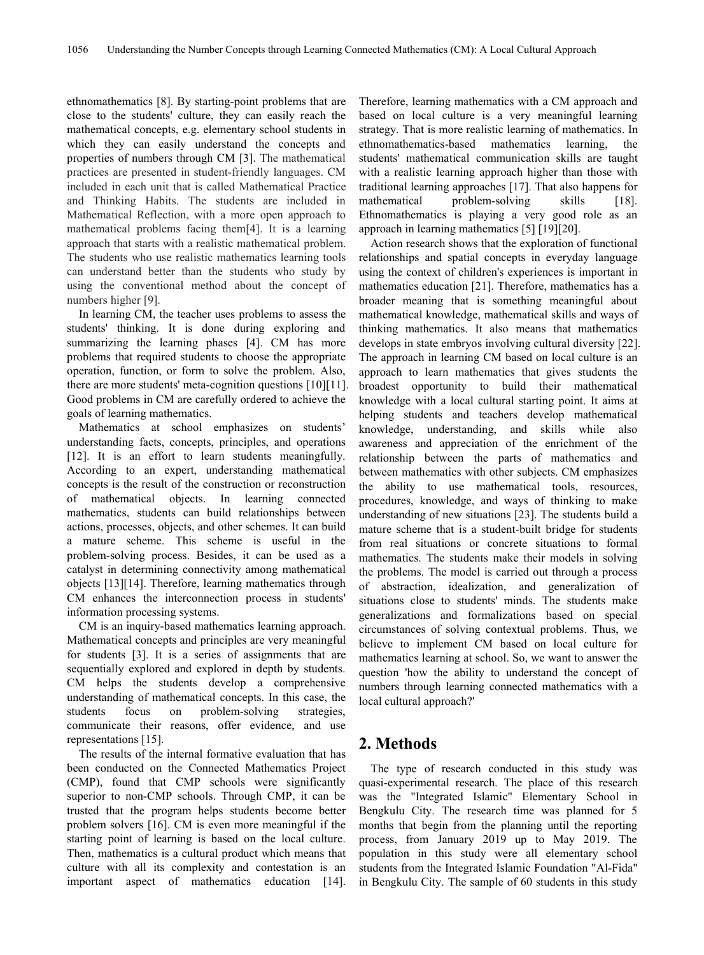ethnomathematics [8]. By starting-point problems that are close to the students' culture, they can easily reach the mathematical concepts, e.g. elementary school students in which they can easily understand the concepts and properties of numbers through CM [3]. The mathematical practices are presented in student-friendly languages. CM included in each unit that is called Mathematical Practice and Thinking Habits. The students are included in Mathematical Reflection, with a more open approach to mathematical problems facing them[4]. It is a learning approach that starts with a realistic mathematical problem. The students who use realistic mathematics learning tools can understand better than the students who study by using the conventional method about the concept of numbers higher [9].

In learning CM, the teacher uses problems to assess the students' thinking. It is done during exploring and summarizing the learning phases [4]. CM has more problems that required students to choose the appropriate operation, function, or form to solve the problem. Also, there are more students' meta-cognition questions [10][11]. Good problems in CM are carefully ordered to achieve the goals of learning mathematics.

Mathematics at school emphasizes on students' understanding facts, concepts, principles, and operations [12]. It is an effort to learn students meaningfully. According to an expert, understanding mathematical concepts is the result of the construction or reconstruction of mathematical objects. In learning connected mathematics, students can build relationships between actions, processes, objects, and other schemes. It can build a mature scheme. This scheme is useful in the problem-solving process. Besides, it can be used as a catalyst in determining connectivity among mathematical objects [13][14]. Therefore, learning mathematics through CM enhances the interconnection process in students' information processing systems.

CM is an inquiry-based mathematics learning approach. Mathematical concepts and principles are very meaningful for students  $[3]$ . It is a series of assignments that are sequentially explored and explored in depth by students. CM helps the students develop a comprehensive understanding of mathematical concepts. In this case, the students focus on problem-solving strategies, communicate their reasons, offer evidence, and use representations [15].

The results of the internal formative evaluation that has been conducted on the Connected Mathematics Project (CMP), found that CMP schools were significantly superior to non-CMP schools. Through CMP, it can be trusted that the program helps students become better problem solvers [16]. CM is even more meaningful if the starting point of learning is based on the local culture. Then, mathematics is a cultural product which means that culture with all its complexity and contestation is an important aspect of mathematics education [14].

Therefore, learning mathematics with a CM approach and based on local culture is a very meaningful learning strategy. That is more realistic learning of mathematics. In ethnomathematics-based mathematics learning, the students' mathematical communication skills are taught with a realistic learning approach higher than those with traditional learning approaches [17]. That also happens for problem-solving skills [18]. Ethnomathematics is playing a very good role as an approach in learning mathematics [5] [19][20].

Action research shows that the exploration of functional relationships and spatial concepts in everyday language using the context of children's experiences is important in mathematics education [21]. Therefore, mathematics has a broader meaning that is something meaningful about mathematical knowledge, mathematical skills and ways of thinking mathematics. It also means that mathematics develops in state embryos involving cultural diversity [22]. The approach in learning CM based on local culture is an approach to learn mathematics thatgives students the broadest opportunity to build their mathematical knowledge with a local cultural starting point. It aims at helping students and teachers develop mathematical knowledge, understanding, and skills while also awareness and appreciation of the enrichment of the relationship between the parts of mathematics and between mathematics with other subjects. CM emphasizes the ability to use mathematical tools, resources, procedures, knowledge, and ways of thinking to make understanding of new situations [23]. The students build a mature scheme that is a student-built bridge for students from real situations or concrete situations to formal mathematics. The students make their models in solving the problems. The model is carried out through a process of abstraction, idealization, and generalization of situations close to students' minds. The students make generalizations and formalizations based on special circumstances of solving contextual problems. Thus, we believe to implement CM based on local culture for mathematics learning at school. So, we want to answer the question 'how the ability to understand the concept of numbers through learning connected mathematics with a local cultural approach?'

# **2. Methods**

The type of research conducted in this study was quasi-experimental research. The place of this research was the "Integrated Islamic" Elementary School in Bengkulu City. The research time was planned for 5 months that begin from the planning until the reporting process, from January 2019 up to May 2019. The population in this study were all elementary school students from the Integrated Islamic Foundation "Al-Fida" in Bengkulu City. The sample of 60 students in this study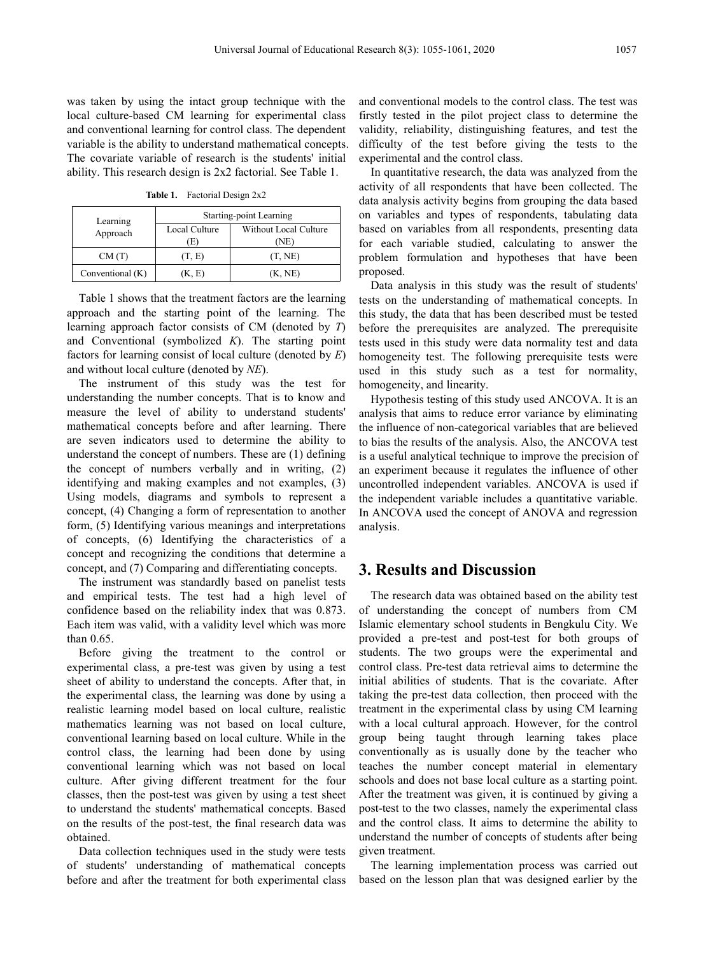was taken by using the intact group technique with the local culture-based CM learning for experimental class and conventional learning for control class. The dependent variable is the ability to understand mathematical concepts. The covariate variable of research is the students' initial ability. This research design is 2x2 factorial. See Table 1.

**Table 1.** Factorial Design 2x2

| Learning         | Starting-point Learning |                               |  |
|------------------|-------------------------|-------------------------------|--|
| Approach         | Local Culture<br>E)     | Without Local Culture<br>(NE) |  |
| CM(T)            | (T. E)                  | (T, NE)                       |  |
| Conventional (K) | K. E)                   | (K, NE)                       |  |

Table 1 shows that the treatment factors are the learning approach and the starting point of the learning. The learning approach factor consists of CM (denoted by *T*) and Conventional (symbolized *K*). The starting point factors for learning consist of local culture (denoted by *E*) and without local culture (denoted by *NE*).

The instrument of this study was the test for understanding the number concepts. That is to know and measure the level of ability to understand students' mathematical concepts before and after learning. There are seven indicators used to determine the ability to understand the concept of numbers. These are (1) defining the concept of numbers verbally and in writing, (2) identifying and making examples and not examples, (3) Using models, diagrams and symbols to represent a concept, (4) Changing a form of representation to another form, (5) Identifying various meanings and interpretations of concepts, (6) Identifying the characteristics of a concept and recognizing the conditions that determine a concept, and (7) Comparing and differentiating concepts.

The instrument was standardly based on panelist tests and empirical tests. The test had a high level of confidence based on the reliability index that was 0.873. Each item was valid, with a validity level which was more than 0.65.

Before giving the treatment to the control or experimental class, a pre-test was given by using a test sheet of ability to understand the concepts. After that, in the experimental class, the learning was done by using a realistic learning model based on local culture, realistic mathematics learning was not based on local culture, conventional learning based on local culture. While in the control class, the learning had been done by using conventional learning which was not based on local culture. After giving different treatment for the four classes, then the post-test was given by using a test sheet to understand the students' mathematical concepts. Based on the results of the post-test, the final research data was obtained.

Data collection techniques used in the study were tests of students' understanding of mathematical concepts before and after the treatment for both experimental class and conventional models to the control class. The test was firstly tested in the pilot project class to determine the validity, reliability, distinguishing features, and test the difficulty of the test before giving the tests to the experimental and the control class.

Starting-point Learning on variables and types of respondents, tabulating data Without Local Culture based on variables from all respondents, presenting data In quantitative research, the data was analyzed from the activity of all respondents that have been collected. The data analysis activity begins from grouping the data based for each variable studied, calculating to answer the problem formulation and hypotheses that have been proposed.

> Data analysis in this study was the result of students' tests on the understanding of mathematical concepts. In this study, the data that has been described must be tested before the prerequisites are analyzed. The prerequisite tests used in this study were data normality test and data homogeneity test. The following prerequisite tests were used in this study such as a test for normality, homogeneity, and linearity.

> Hypothesis testing of this study used ANCOVA. It is an analysis that aims to reduce error variance by eliminating the influence of non-categorical variables that are believed to bias the results of the analysis. Also, the ANCOVA test is a useful analytical technique to improve the precision of an experiment because it regulates the influence of other uncontrolled independent variables. ANCOVA is used if the independent variable includes a quantitative variable. In ANCOVA used the concept of ANOVA and regression analysis.

### **3. Results and Discussion**

The research data was obtained based on the ability test of understanding the concept of numbers from CM Islamic elementary school students in Bengkulu City. We provided apre-test and post-test for both groups of students. The two groups were the experimental and control class. Pre-test data retrieval aims to determine the initial abilities of students. That is the covariate. After taking the pre-test data collection, then proceed with the treatment in the experimental class by using CM learning with a local cultural approach. However, for the control group being taught through learning takes place conventionally as is usually done by the teacher who teaches the number concept material in elementary schools and does not base local culture as a starting point. After the treatment was given, it is continued by giving a post-test to the two classes, namely the experimental class and the control class. It aims to determine the ability to understand the number of concepts of students after being given treatment.

The learning implementation process was carried out based on the lesson plan that was designed earlier by the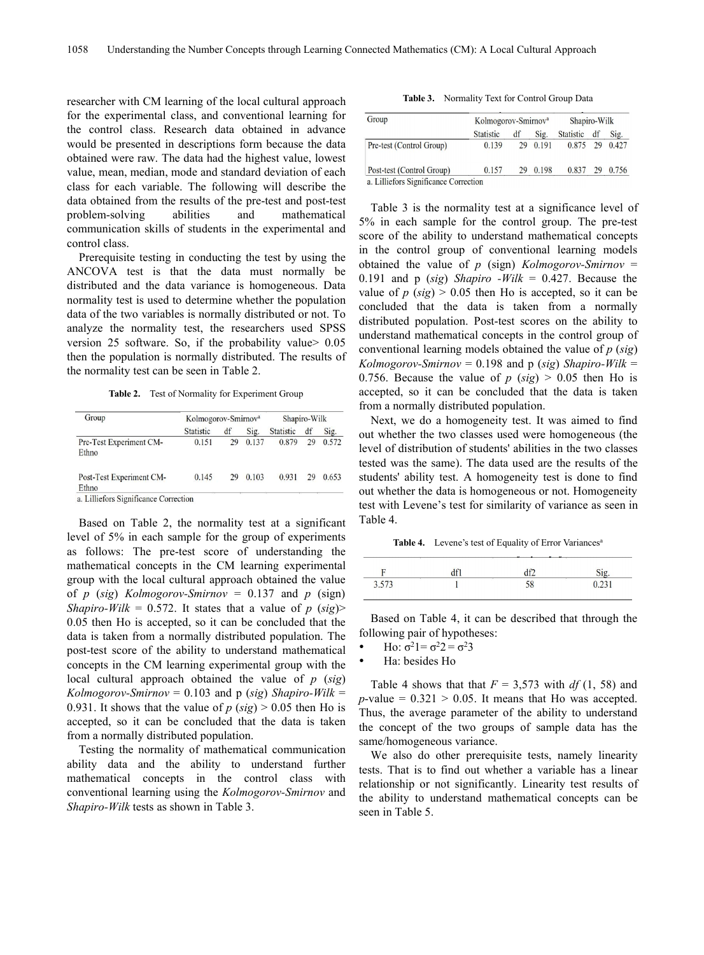researcher with CM learning of the local cultural approach for the experimental class, and conventional learning for the control class. Research data obtained in advance would be presented in descriptions form because the data obtained were raw. The data had the highest value, lowest value, mean, median, mode and standard deviation of each [Post-test (Control Group)<br>class for each variable. The following will describe the a. Lilliefors Significance Correction class for each variable. The following will describe the data obtained from the results of the pre-test and post-test problem-solving abilities and mathematical communication skills of students in the experimental and control class.

Prerequisite testing in conducting the test by using the ANCOVA test is that the data must normally be distributed and the data variance is homogeneous. Data normality test is used to determine whether the population data of the two variables is normally distributed or not. To analyze the normality test, the researchers used SPSS version 25 software. So, if the probability value> 0.05 then the population is normally distributed. The results of the normality test can be seen in Table 2.

**Table 2.** Test of Normality for Experiment Group

| Group                             | Kolmogorov-Smirnov <sup>a</sup> |    |       | Shapiro-Wilk     |    |       |
|-----------------------------------|---------------------------------|----|-------|------------------|----|-------|
|                                   | <b>Statistic</b>                | df | Sig.  | <b>Statistic</b> | df | Sig.  |
| Pre-Test Experiment CM-<br>Ethno  | 0.151                           | 29 | 0.137 | 0.879            | 29 | 0.572 |
| Post-Test Experiment CM-<br>Ethno | 0.145                           | 29 | 0.103 | 0.931            | 29 | 0.653 |

Based on Table 2, the normality test at a significant level of 5% in each sample for the group of experiments as follows: The pre-test score of understanding the mathematical concepts in the CM learning experimental group with the local cultural approach obtained the value of *p* (*sig*) *Kolmogorov-Smirnov* = 0.137 and *p* (sign) *Shapiro-Wilk* = 0.572. It states that a value of *p* (*sig*)> 0.05 then Ho is accepted, so it can be concluded that the data is taken from a normally distributed population. The post-test score of the ability to understand mathematical concepts in the CM learning experimental group with the local cultural approach obtained the value of *p* (*sig*)  $Kolmogorov-Smirnov = 0.103$  and p (*sig*) *Shapiro-Wilk* = 0.931. It shows that the value of  $p$  ( $sig$ ) > 0.05 then Ho is accepted, so it can be concluded that the data is taken from a normally distributed population.

Testing the normality of mathematical communication ability data and the ability to understand further mathematical concepts in the control class with conventional learning using the *Kolmogorov-Smirnov* and *Shapiro-Wilk* tests as shown in Table 3.

**Table 3.** Normality Text for Control Group Data

| Group                     | Kolmogorov-Smirnov <sup>a</sup> |    |       | Shapiro-Wilk |    |       |
|---------------------------|---------------------------------|----|-------|--------------|----|-------|
|                           | <b>Statistic</b>                | df | Sig.  | Statistic    | df | Sig.  |
| Pre-test (Control Group)  | 0.139                           | 29 | 0.191 | 0.875        | 29 | 0.427 |
| Post-test (Control Group) | 0.157                           | 29 | 0.198 | 0.837        | 29 | 0.756 |

Table 3 is the normality test at a significance level of 5% in each sample for the control group. The pre-test score of the ability to understand mathematical concepts in the control group of conventional learning models obtained the value of *p* (sign) *Kolmogorov-Smirnov* = 0.191 and p (*sig*) *Shapiro -Wilk* = 0.427. Because the value of  $p$  ( $sig$ ) > 0.05 then Ho is accepted, so it can be concluded that the data is taken from a normally distributed population. Post-test scores on the ability to understand mathematical concepts in the control group of conventional learning models obtained the value of *p* (*sig*) *Kolmogorov-Smirnov* = 0.198 and p (*sig*) *Shapiro-Wilk* = 0.756. Because the value of  $p$  (*sig*)  $> 0.05$  then Ho is accepted, so it can be concluded that the data is taken from a normally distributed population.

Next, we do a homogeneity test. It was aimed to find out whether the two classes used were homogeneous (the level of distribution of students' abilities in the two classes tested was the same). The data used are the results of the students' ability test. A homogeneity test is done to find out whether the data is homogeneous or not. Homogeneity test with Levene's test for similarity of variance as seen in Table 4.

**Table 4.** Levene's test of Equality of Error Variances a and a structure of the structure of the structure of the structure of the structure of the structure of the structure of the structure of the structure of the structure of the structure of the structure of the structure

| ÷    | $\sim$ |  |
|------|--------|--|
| 3572 |        |  |

Based on Table 4, it can be described that through the following pair of hypotheses:

- Ho:  $\sigma^2 = \sigma^2 = \sigma^2 = 3$
- Ha: besides Ho

Table 4 shows that that  $F = 3,573$  with  $df(1, 58)$  and  $p$ -value =  $0.321 > 0.05$ . It means that Ho was accepted. Thus, the average parameter of the ability to understand the concept of the two groups of sample data has the same/homogeneous variance.

We also do other prerequisite tests, namely linearity tests. That is to find out whether a variable has a linear relationship or not significantly. Linearity test results of the ability to understand mathematical concepts can be seen in Table 5.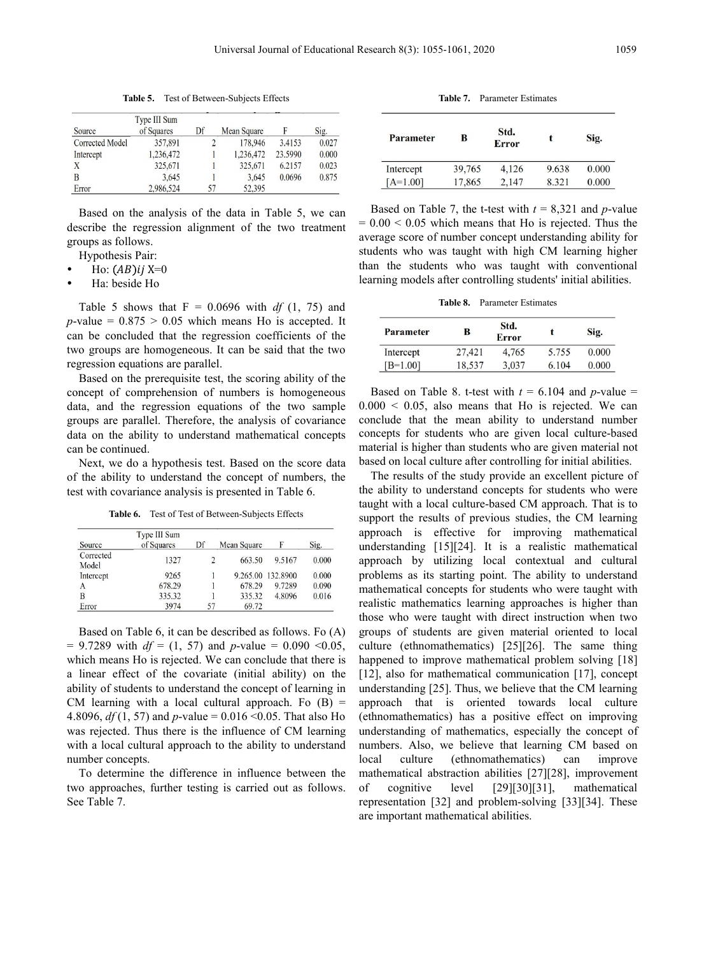**Table 5.** Test of Between-Subjects Effects

| Source                 | Type III Sum<br>of Squares | Df | Mean Square |         | Sig.  |
|------------------------|----------------------------|----|-------------|---------|-------|
| <b>Corrected Model</b> | 357,891                    |    | 178,946     | 3.4153  | 0.027 |
| Intercept              | 1,236,472                  |    | 1,236,472   | 23.5990 | 0.000 |
| Χ                      | 325,671                    |    | 325,671     | 6.2157  | 0.023 |
| B                      | 3.645                      |    | 3,645       | 0.0696  | 0.875 |
| Error                  | 2,986,524                  | 57 | 52,395      |         |       |

Based on the analysis of the data in Table 5, we can describe the regression alignment of the two treatment groups as follows.

Hypothesis Pair:

- Ho:  $(AB)$ ij X=0
- Ha: beside Ho

Table 5 shows that  $F = 0.0696$  with *df* (1, 75) and  $p$ -value =  $0.875 > 0.05$  which means Ho is accepted. It can be concluded that the regression coefficients of the two groups are homogeneous. It can be said that the two regression equations are parallel.

Based on the prerequisite test, the scoring ability of the concept of comprehension of numbers is homogeneous data, and the regression equations of the two sample groups are parallel. Therefore, the analysis of covariance data on the ability to understand mathematical concepts can be continued.

Next, we do a hypothesis test. Based on the score data of the ability to understand the concept of numbers, the test with covariance analysis is presented in Table 6.

**Table 6.** Test of Test of Between-Subjects Effects

| Source             | Type III Sum<br>of Squares | Df | Mean Square | F                 | Sig.  |
|--------------------|----------------------------|----|-------------|-------------------|-------|
| Corrected<br>Model | 1327                       | 2  | 663.50      | 9.5167            | 0.000 |
| Intercept          | 9265                       |    |             | 9.265.00 132.8900 | 0.000 |
| A                  | 678.29                     |    | 678.29      | 9.7289            | 0.090 |
| B                  | 335.32                     |    | 335.32      | 4.8096            | 0.016 |
| Error              | 3974                       | 57 | 69.72       |                   |       |

Based on Table 6, it can be described as follows. Fo  $(A)$  $= 9.7289$  with  $df = (1, 57)$  and *p*-value  $= 0.090 \le 0.05$ , which means Ho is rejected. We can conclude that there is a linear effect of the covariate (initial ability) on the ability of students to understand the concept of learning in CM learning with a local cultural approach. Fo  $(B)$  = 4.8096, *df* (1, 57) and *p*-value = 0.016 <0.05. That also Ho was rejected. Thus there is the influence of CM learning with a local cultural approach to the ability to understand number concepts.

To determine the difference in influence between the two approaches, further testing is carried out as follows. See Table 7.

**Table 7.** Parameter Estimates

| <b>Parameter</b> | в      | Std.<br><b>Error</b> |       | Sig.  |
|------------------|--------|----------------------|-------|-------|
| Intercept        | 39,765 | 4,126                | 9.638 | 0.000 |
| $[A=1.00]$       | 17,865 | 2.147                | 8.321 | 0.000 |

Based on Table 7, the t-test with  $t = 8,321$  and *p*-value  $= 0.00 \le 0.05$  which means that Ho is rejected. Thus the average score of number concept understanding ability for students who was taught with high CM learning higher than the students who was taught with conventional learning models after controlling students' initial abilities.

**Table 8.** Parameter Estimates

| <b>Parameter</b> | в      | Std.<br><b>Error</b> |       | Sig.  |
|------------------|--------|----------------------|-------|-------|
| Intercept        | 27,421 | 4.765                | 5.755 | 0.000 |
| $[B=1.00]$       | 18,537 | 3,037                | 6.104 | 0.000 |

Based on Table 8. t-test with  $t = 6.104$  and *p*-value =  $0.000 < 0.05$ , also means that Ho is rejected. We can conclude that the mean ability to understand number concepts for students who are given local culture-based material is higher than students who are given material not based on local culture after controlling for initial abilities.

The results of the study provide an excellent picture of the ability to understand concepts for students who were taught with a local culture-based CM approach. That is to support the results of previous studies, the CM learning approach is effective for improving mathematical understanding [15][24]. It is a realistic mathematical approach by utilizing local contextual and cultural problems as its starting point. The ability to understand mathematical concepts for students who were taught with realistic mathematics learning approaches is higher than those who were taught with direct instruction when two groups of students are given material oriented to local culture (ethnomathematics) [25][26]. The same thing happened to improve mathematical problem solving [18] [12], also for mathematical communication [17], concept understanding  $[25]$ . Thus, we believe that the CM learning approach that is oriented towards local culture (ethnomathematics) has a positive effect on improving understanding of mathematics, especially the concept of numbers. Also, we believe that learning CM based on local culture (ethnomathematics) can improve mathematical abstraction abilities [27][28], improvement  $level$   $[29][30][31]$ , mathematical representation [32] and problem-solving [33][34]. These are important mathematical abilities.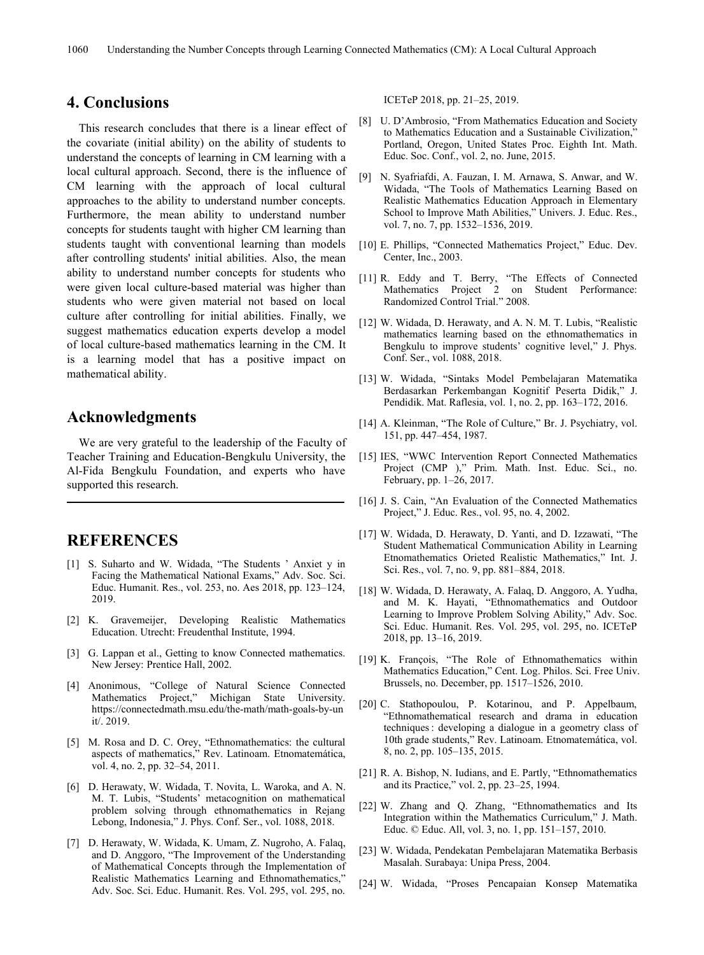#### **4. Conclusions**

This research concludes that there is a linear effect of the covariate (initial ability) on the ability of students to understand the concepts of learning in CM learning with a local cultural approach. Second, there is the influence of CM learning with the approach of local cultural approaches to the ability to understand number concepts. Furthermore, the mean ability to understand number concepts for students taught with higher CM learning than students taught with conventional learning than models after controlling students' initial abilities. Also, the mean ability to understand number concepts for students who were given local culture-based material was higher than students who were given material not based on local culture after controlling for initial abilities. Finally, we suggest mathematics education experts develop a model of local culture-based mathematics learning in the CM.It is a learning model that has a positive impact on Conf. Ser., vol. 1088, 2018. mathematical ability.

# **Acknowledgments**

We are very grateful to the leadership of the Faculty of Teacher Training and Education-Bengkulu University, the Al-Fida Bengkulu Foundation, and experts who have supported this research.

### **REFERENCES**

- [1] S. Suharto and W. Widada, "The Students ' Anxiet y in Facing the Mathematical National Exams," Adv. Soc. Sci. Educ. Humanit. Res., vol. 253, no. Aes 2018, pp. 123–124, 2019.
- [2] K. Gravemeijer, Developing Realistic Mathematics Education. Utrecht: Freudenthal Institute, 1994.
- [3] G. Lappan et al., Getting to know Connected mathematics. New Jersey: Prentice Hall, 2002.
- [4] Anonimous, "College of Natural Science Connected Mathematics Project," Michigan State University. https://connectedmath.msu.edu/the-math/math-goals-by-un it/. 2019.
- [5] M. Rosa and D. C. Orey, "Ethnomathematics: the cultural aspects of mathematics," Rev. Latinoam. Etnomatemática, vol. 4, no. 2, pp. 32–54, 2011.
- [6] D. Herawaty, W. Widada, T. Novita, L. Waroka, and A. N. M. T. Lubis, "Students' metacognition on mathematical problem solving through ethnomathematics in Rejang Lebong, Indonesia," J. Phys. Conf. Ser., vol. 1088, 2018.
- [7] D. Herawaty, W. Widada, K. Umam, Z. Nugroho, A. Falaq, and D. Anggoro, "The Improvement of the Understanding of Mathematical Concepts through the Implementation of Realistic Mathematics Learning and Ethnomathematics," Adv. Soc. Sci. Educ. Humanit. Res. Vol. 295, vol. 295, no.

ICETeP 2018, pp. 21–25, 2019.

- [8] U. D'Ambrosio, "From Mathematics Education and Society to Mathematics Education and a Sustainable Civilization," Portland, Oregon, United States Proc. Eighth Int. Math. Educ. Soc. Conf., vol. 2, no. June, 2015.
- [9] N. Syafriafdi, A. Fauzan, I. M. Arnawa, S. Anwar, and W. Widada, "The Tools of Mathematics Learning Based on Realistic Mathematics Education Approach in Elementary School to Improve Math Abilities," Univers. J. Educ. Res., vol. 7, no. 7, pp. 1532–1536, 2019.
- [10] E. Phillips, "Connected Mathematics Project," Educ. Dev. Center, Inc., 2003.
- [11] R. Eddy and T. Berry, "The Effects of Connected Mathematics Project 2 on Student Performance: Randomized Control Trial." 2008.
- [12] W. Widada, D. Herawaty, and A. N. M. T. Lubis, "Realistic mathematics learning based on the ethnomathematics in Bengkulu to improve students' cognitive level," J. Phys.
- [13] W. Widada, "Sintaks Model Pembelajaran Matematika Berdasarkan Perkembangan Kognitif Peserta Didik," J. Pendidik. Mat. Raflesia, vol. 1, no. 2, pp. 163–172, 2016.
- [14] A. Kleinman, "The Role of Culture," Br. J. Psychiatry, vol. 151, pp. 447–454, 1987.
- [15] IES, "WWC Intervention Report Connected Mathematics Project (CMP )," Prim. Math. Inst. Educ. Sci., no. February, pp. 1–26, 2017.
- [16] J. S. Cain, "An Evaluation of the Connected Mathematics Project," J. Educ. Res., vol. 95, no. 4, 2002.
- [17] W. Widada, D. Herawaty, D. Yanti, and D. Izzawati, "The Student Mathematical Communication Ability in Learning Etnomathematics Orieted Realistic Mathematics," Int. J. Sci. Res., vol. 7, no. 9, pp. 881–884, 2018.
- [18] W. Widada, D. Herawaty, A. Falaq, D. Anggoro, A. Yudha, and M. K. Hayati, "Ethnomathematics and Outdoor Learning to Improve Problem Solving Ability," Adv. Soc. Sci. Educ. Humanit. Res. Vol. 295, vol. 295, no. ICETeP 2018, pp. 13–16, 2019.
- [19] K. François, "The Role of Ethnomathematics within Mathematics Education," Cent. Log. Philos. Sci. Free Univ. Brussels, no. December, pp. 1517–1526, 2010.
- [20] C. Stathopoulou, P. Kotarinou, and P. Appelbaum, "Ethnomathematical research and drama in education techniques: developing a dialogue in a geometry class of 10th grade students," Rev. Latinoam. Etnomatemática, vol. 8, no. 2, pp. 105–135, 2015.
- [21] R. A. Bishop, N. Iudians, and E. Partly, "Ethnomathematics" and its Practice," vol. 2, pp. 23–25, 1994.
- [22] W. Zhang and Q. Zhang, "Ethnomathematics and Its Integration within the Mathematics Curriculum," J. Math. Educ. © Educ. All, vol. 3, no. 1,pp. 151–157, 2010.
- [23] W. Widada, Pendekatan Pembelajaran Matematika Berbasis Masalah. Surabaya: Unipa Press, 2004.
- [24] W. Widada, "Proses Pencapaian Konsep Matematika